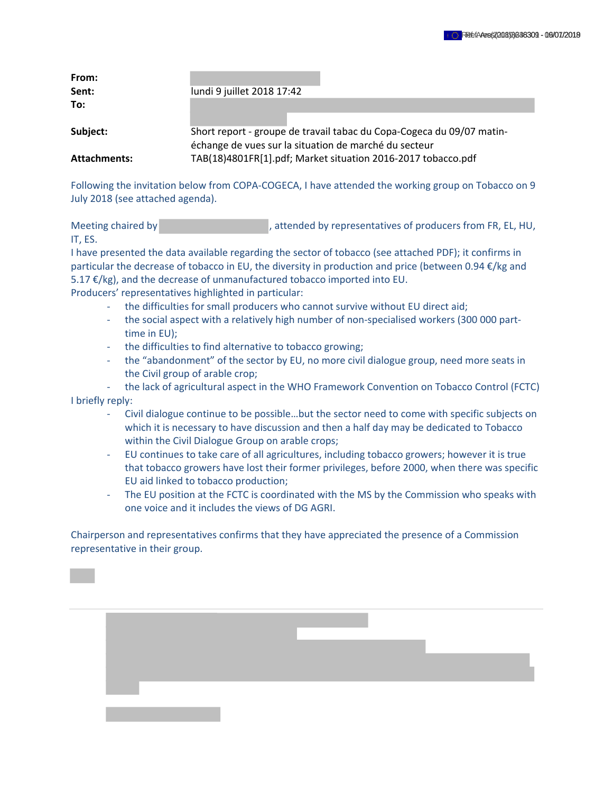| From:        |                                                                                                                                |  |  |
|--------------|--------------------------------------------------------------------------------------------------------------------------------|--|--|
| Sent:        | lundi 9 juillet 2018 17:42                                                                                                     |  |  |
| To:          |                                                                                                                                |  |  |
| Subject:     | Short report - groupe de travail tabac du Copa-Cogeca du 09/07 matin-<br>échange de vues sur la situation de marché du secteur |  |  |
| Attachments: | TAB(18)4801FR[1].pdf; Market situation 2016-2017 tobacco.pdf                                                                   |  |  |

Following the invitation below from COPA-COGECA, I have attended the working group on Tobacco on 9 July 2018 (see attached agenda).

Meeting chaired by **Meeting** chaired by **Meeting** chaired by **chairman** attended by representatives of producers from FR, EL, HU, IT, ES.

I have presented the data available regarding the sector of tobacco (see attached PDF); it confirms in particular the decrease of tobacco in EU, the diversity in production and price (between 0.94 €/kg and 5.17 €/kg), and the decrease of unmanufactured tobacco imported into EU.

Producers' representatives highlighted in particular:

- the difficulties for small producers who cannot survive without EU direct aid;
- the social aspect with a relatively high number of non-specialised workers (300 000 parttime in EU);
- the difficulties to find alternative to tobacco growing;
- the "abandonment" of the sector by EU, no more civil dialogue group, need more seats in the Civil group of arable crop;

- the lack of agricultural aspect in the WHO Framework Convention on Tobacco Control (FCTC) I briefly reply:

- Civil dialogue continue to be possible…but the sector need to come with specific subjects on which it is necessary to have discussion and then a half day may be dedicated to Tobacco within the Civil Dialogue Group on arable crops;
- EU continues to take care of all agricultures, including tobacco growers; however it is true that tobacco growers have lost their former privileges, before 2000, when there was specific EU aid linked to tobacco production;
- The EU position at the FCTC is coordinated with the MS by the Commission who speaks with one voice and it includes the views of DG AGRI.

Chairperson and representatives confirms that they have appreciated the presence of a Commission representative in their group.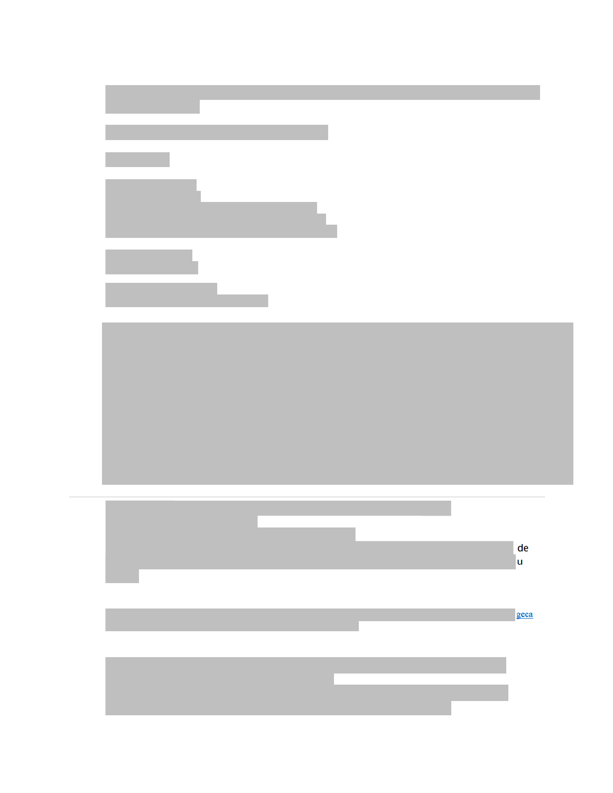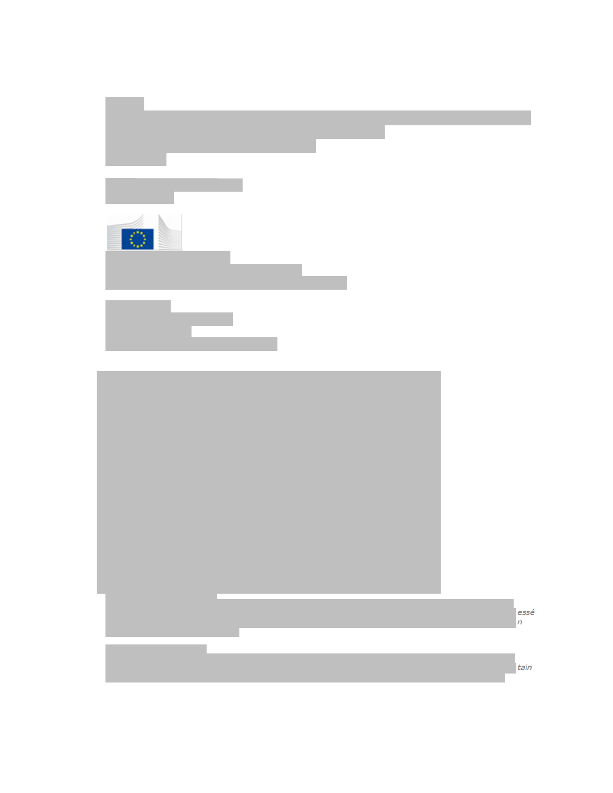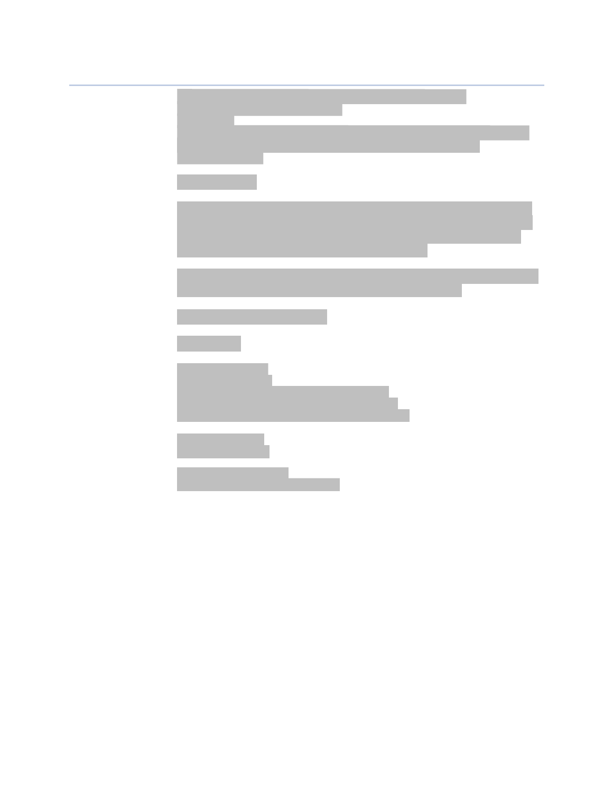